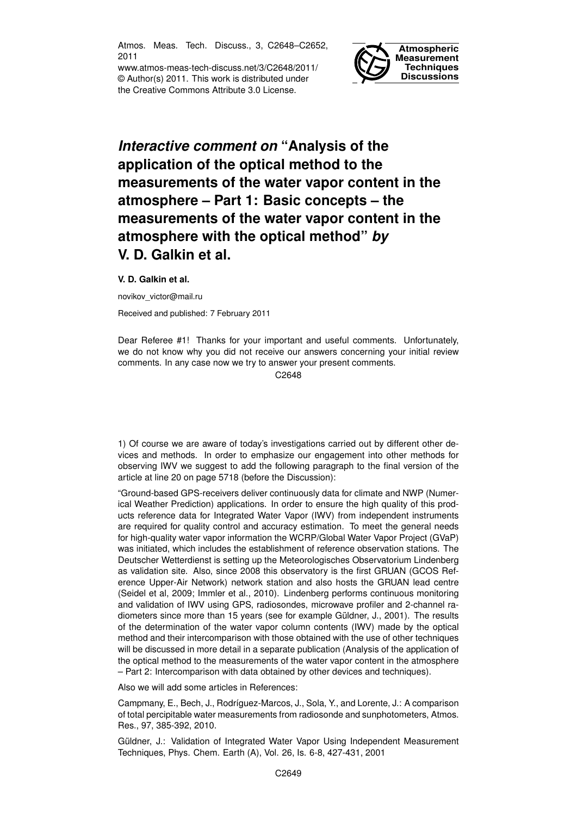Atmos. Meas. Tech. Discuss., 3, C2648–C2652, 2011

www.atmos-meas-tech-discuss.net/3/C2648/2011/ © Author(s) 2011. This work is distributed under the Creative Commons Attribute 3.0 License.



## *Interactive comment on* **"Analysis of the application of the optical method to the measurements of the water vapor content in the atmosphere – Part 1: Basic concepts – the measurements of the water vapor content in the atmosphere with the optical method"** *by* **V. D. Galkin et al.**

## **V. D. Galkin et al.**

novikov\_victor@mail.ru

Received and published: 7 February 2011

Dear Referee #1! Thanks for your important and useful comments. Unfortunately, we do not know why you did not receive our answers concerning your initial review comments. In any case now we try to answer your present comments.

C<sub>2648</sub>

1) Of course we are aware of today's investigations carried out by different other devices and methods. In order to emphasize our engagement into other methods for observing IWV we suggest to add the following paragraph to the final version of the article at line 20 on page 5718 (before the Discussion):

"Ground-based GPS-receivers deliver continuously data for climate and NWP (Numerical Weather Prediction) applications. In order to ensure the high quality of this products reference data for Integrated Water Vapor (IWV) from independent instruments are required for quality control and accuracy estimation. To meet the general needs for high-quality water vapor information the WCRP/Global Water Vapor Project (GVaP) was initiated, which includes the establishment of reference observation stations. The Deutscher Wetterdienst is setting up the Meteorologisches Observatorium Lindenberg as validation site. Also, since 2008 this observatory is the first GRUAN (GCOS Reference Upper-Air Network) network station and also hosts the GRUAN lead centre (Seidel et al, 2009; Immler et al., 2010). Lindenberg performs continuous monitoring and validation of IWV using GPS, radiosondes, microwave profiler and 2-channel radiometers since more than 15 years (see for example Güldner, J., 2001). The results of the determination of the water vapor column contents (IWV) made by the optical method and their intercomparison with those obtained with the use of other techniques will be discussed in more detail in a separate publication (Analysis of the application of the optical method to the measurements of the water vapor content in the atmosphere – Part 2: Intercomparison with data obtained by other devices and techniques).

Also we will add some articles in References:

Campmany, E., Bech, J., Rodríguez-Marcos, J., Sola, Y., and Lorente, J.: A comparison of total percipitable water measurements from radiosonde and sunphotometers, Atmos. Res., 97, 385-392, 2010.

Güldner, J.: Validation of Integrated Water Vapor Using Independent Measurement Techniques, Phys. Chem. Earth (A), Vol. 26, Is. 6-8, 427-431, 2001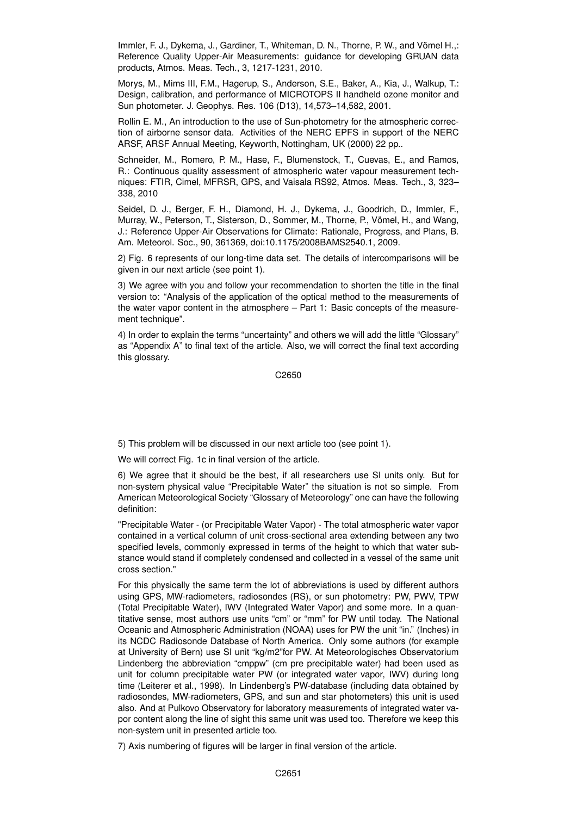Immler, F. J., Dykema, J., Gardiner, T., Whiteman, D. N., Thorne, P. W., and Vömel H.,: Reference Quality Upper-Air Measurements: guidance for developing GRUAN data products, Atmos. Meas. Tech., 3, 1217-1231, 2010.

Morys, M., Mims III, F.M., Hagerup, S., Anderson, S.E., Baker, A., Kia, J., Walkup, T.: Design, calibration, and performance of MICROTOPS II handheld ozone monitor and Sun photometer. J. Geophys. Res. 106 (D13), 14,573–14,582, 2001.

Rollin E. M., An introduction to the use of Sun-photometry for the atmospheric correction of airborne sensor data. Activities of the NERC EPFS in support of the NERC ARSF, ARSF Annual Meeting, Keyworth, Nottingham, UK (2000) 22 pp..

Schneider, M., Romero, P. M., Hase, F., Blumenstock, T., Cuevas, E., and Ramos, R.: Continuous quality assessment of atmospheric water vapour measurement techniques: FTIR, Cimel, MFRSR, GPS, and Vaisala RS92, Atmos. Meas. Tech., 3, 323– 338, 2010

Seidel, D. J., Berger, F. H., Diamond, H. J., Dykema, J., Goodrich, D., Immler, F., Murray, W., Peterson, T., Sisterson, D., Sommer, M., Thorne, P., Vömel, H., and Wang, J.: Reference Upper-Air Observations for Climate: Rationale, Progress, and Plans, B. Am. Meteorol. Soc., 90, 361369, doi:10.1175/2008BAMS2540.1, 2009.

2) Fig. 6 represents of our long-time data set. The details of intercomparisons will be given in our next article (see point 1).

3) We agree with you and follow your recommendation to shorten the title in the final version to: "Analysis of the application of the optical method to the measurements of the water vapor content in the atmosphere – Part 1: Basic concepts of the measurement technique".

4) In order to explain the terms "uncertainty" and others we will add the little "Glossary" as "Appendix A" to final text of the article. Also, we will correct the final text according this glossary.

C2650

5) This problem will be discussed in our next article too (see point 1).

We will correct Fig. 1c in final version of the article.

6) We agree that it should be the best, if all researchers use SI units only. But for non-system physical value "Precipitable Water" the situation is not so simple. From American Meteorological Society "Glossary of Meteorology" one can have the following definition:

"Precipitable Water - (or Precipitable Water Vapor) - The total atmospheric water vapor contained in a vertical column of unit cross-sectional area extending between any two specified levels, commonly expressed in terms of the height to which that water substance would stand if completely condensed and collected in a vessel of the same unit cross section."

For this physically the same term the lot of abbreviations is used by different authors using GPS, MW-radiometers, radiosondes (RS), or sun photometry: PW, PWV, TPW (Total Precipitable Water), IWV (Integrated Water Vapor) and some more. In a quantitative sense, most authors use units "cm" or "mm" for PW until today. The National Oceanic and Atmospheric Administration (NOAA) uses for PW the unit "in." (Inches) in its NCDC Radiosonde Database of North America. Only some authors (for example at University of Bern) use SI unit "kg/m2"for PW. At Meteorologisches Observatorium Lindenberg the abbreviation "cmppw" (cm pre precipitable water) had been used as unit for column precipitable water PW (or integrated water vapor, IWV) during long time (Leiterer et al., 1998). In Lindenberg's PW-database (including data obtained by radiosondes, MW-radiometers, GPS, and sun and star photometers) this unit is used also. And at Pulkovo Observatory for laboratory measurements of integrated water vapor content along the line of sight this same unit was used too. Therefore we keep this non-system unit in presented article too.

7) Axis numbering of figures will be larger in final version of the article.